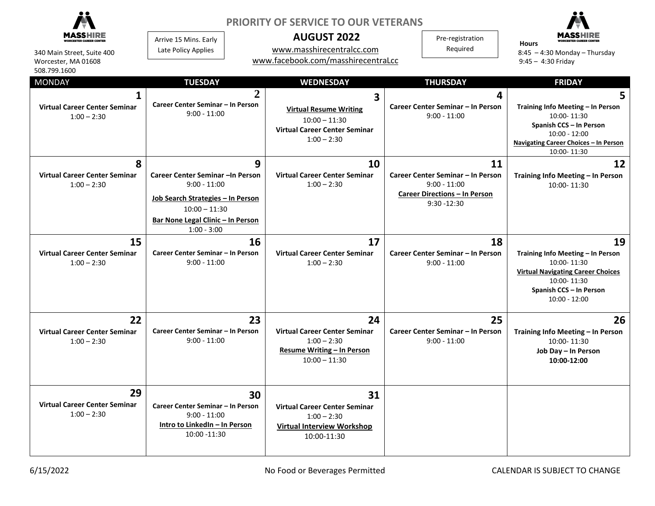| 340 Main Street, Suite 400<br>Worcester, MA 01608<br>508.799.1600<br><b>MONDAY</b> | Arrive 15 Mins. Early<br>Late Policy Applies<br><b>TUESDAY</b>                                                                                                    | <b>PRIORITY OF SERVICE TO OUR VETERANS</b><br><b>AUGUST 2022</b><br>www.masshirecentralcc.com<br>www.facebook.com/masshirecentraLcc<br><b>WEDNESDAY</b><br>$\overline{2}$<br>3 | Pre-registration<br>Required<br><b>THURSDAY</b><br>4                                                                | <b>Hours</b><br>$8:45 - 4:30$ Monday - Thursday<br>$9:45 - 4:30$ Friday<br><b>FRIDAY</b><br>5                                                                   |
|------------------------------------------------------------------------------------|-------------------------------------------------------------------------------------------------------------------------------------------------------------------|--------------------------------------------------------------------------------------------------------------------------------------------------------------------------------|---------------------------------------------------------------------------------------------------------------------|-----------------------------------------------------------------------------------------------------------------------------------------------------------------|
| <b>Virtual Career Center Seminar</b><br>$1:00 - 2:30$                              | Career Center Seminar - In Person<br>$9:00 - 11:00$                                                                                                               | <b>Virtual Resume Writing</b><br>$10:00 - 11:30$<br><b>Virtual Career Center Seminar</b><br>$1:00 - 2:30$                                                                      | Career Center Seminar - In Person<br>$9:00 - 11:00$                                                                 | Training Info Meeting - In Person<br>10:00-11:30<br>Spanish CCS - In Person<br>$10:00 - 12:00$<br>Navigating Career Choices - In Person<br>10:00-11:30          |
| 8<br><b>Virtual Career Center Seminar</b><br>$1:00 - 2:30$                         | Career Center Seminar - In Person<br>$9:00 - 11:00$<br>Job Search Strategies - In Person<br>$10:00 - 11:30$<br>Bar None Legal Clinic - In Person<br>$1:00 - 3:00$ | 9<br>10<br><b>Virtual Career Center Seminar</b><br>$1:00 - 2:30$                                                                                                               | 11<br>Career Center Seminar - In Person<br>$9:00 - 11:00$<br><b>Career Directions - In Person</b><br>$9:30 - 12:30$ | 12<br>Training Info Meeting - In Person<br>10:00-11:30                                                                                                          |
| 15<br><b>Virtual Career Center Seminar</b><br>$1:00 - 2:30$                        | Career Center Seminar - In Person<br>$9:00 - 11:00$                                                                                                               | 16<br>17<br><b>Virtual Career Center Seminar</b><br>$1:00 - 2:30$                                                                                                              | 18<br>Career Center Seminar - In Person<br>$9:00 - 11:00$                                                           | 19<br>Training Info Meeting - In Person<br>10:00-11:30<br><b>Virtual Navigating Career Choices</b><br>10:00-11:30<br>Spanish CCS - In Person<br>$10:00 - 12:00$ |
| 22<br><b>Virtual Career Center Seminar</b><br>$1:00 - 2:30$                        | Career Center Seminar - In Person<br>$9:00 - 11:00$                                                                                                               | 23<br>24<br><b>Virtual Career Center Seminar</b><br>$1:00 - 2:30$<br><b>Resume Writing - In Person</b><br>$10:00 - 11:30$                                                      | 25<br>Career Center Seminar - In Person<br>$9:00 - 11:00$                                                           | 26<br>Training Info Meeting - In Person<br>10:00-11:30<br>Job Day - In Person<br>10:00-12:00                                                                    |
| 29<br><b>Virtual Career Center Seminar</b><br>$1:00 - 2:30$                        | Career Center Seminar - In Person<br>$9:00 - 11:00$<br>Intro to LinkedIn - In Person<br>10:00 -11:30                                                              | 31<br>30<br><b>Virtual Career Center Seminar</b><br>$1:00 - 2:30$<br><b>Virtual Interview Workshop</b><br>10:00-11:30                                                          |                                                                                                                     |                                                                                                                                                                 |